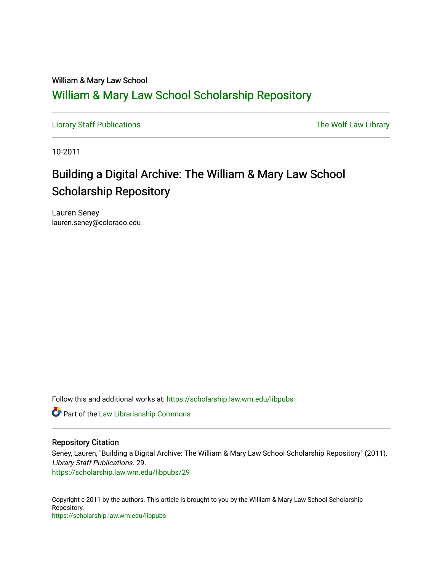### William & Mary Law School [William & Mary Law School Scholarship Repository](https://scholarship.law.wm.edu/)

[Library Staff Publications](https://scholarship.law.wm.edu/libpubs) **The Wolf Law Library** Channel Communist Channel Channel Channel Channel Channel Channel Channel Channel Channel Channel Channel Channel Channel Channel Channel Channel Channel Channel Channel Ch

10-2011

## Building a Digital Archive: The William & Mary Law School Scholarship Repository

Lauren Seney lauren.seney@colorado.edu

Follow this and additional works at: [https://scholarship.law.wm.edu/libpubs](https://scholarship.law.wm.edu/libpubs?utm_source=scholarship.law.wm.edu%2Flibpubs%2F29&utm_medium=PDF&utm_campaign=PDFCoverPages) 

**Part of the [Law Librarianship Commons](http://network.bepress.com/hgg/discipline/1393?utm_source=scholarship.law.wm.edu%2Flibpubs%2F29&utm_medium=PDF&utm_campaign=PDFCoverPages)** 

#### Repository Citation

Seney, Lauren, "Building a Digital Archive: The William & Mary Law School Scholarship Repository" (2011). Library Staff Publications. 29. [https://scholarship.law.wm.edu/libpubs/29](https://scholarship.law.wm.edu/libpubs/29?utm_source=scholarship.law.wm.edu%2Flibpubs%2F29&utm_medium=PDF&utm_campaign=PDFCoverPages)

Copyright c 2011 by the authors. This article is brought to you by the William & Mary Law School Scholarship Repository. <https://scholarship.law.wm.edu/libpubs>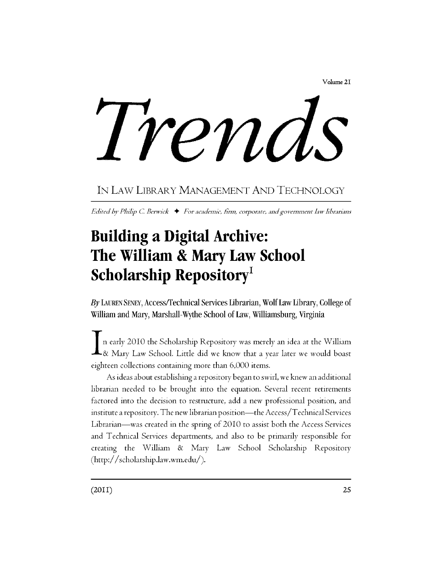Volume2I

Trends

### IN LAW LIBRARY MANAGEMENT AND TECHNOLOGY

*Edited by Philip C. Berwick*  $\rightarrow$  *For academic, firm, corporate, and government law librarians* 

# **Building a Digital Archive:**  The **William & Mary Law School Scholarship Repository<sup>1</sup>**

By LAUREN SENEY, Access/Technical Services Librarian, Wolf Law Library, College of William and Mary, Marshall-Wythe School of Law, Williamsburg, Virginia

I n early 2010 the Scholarship Repository was merely an idea at the William  $\blacktriangle$ & Mary Law School. Little did we know that a year later we would boast eighteen collections containing more than 6,000 items.

As ideas about establishing a repository began to swirl, we knew an additional librarian needed to be brought into the equation. Several recent retirements factored into the decision to restructure, add a new professional position, and institute a repository. The new librarian position—the Access/T echnical Services Librarian—was created in the spring of 2010 to assist both the Access Services and Technical Services departments, and also to be primarily responsible for creating the William & Mary Law School Scholarship Repository (http:// scholarship .law. wm.edu/).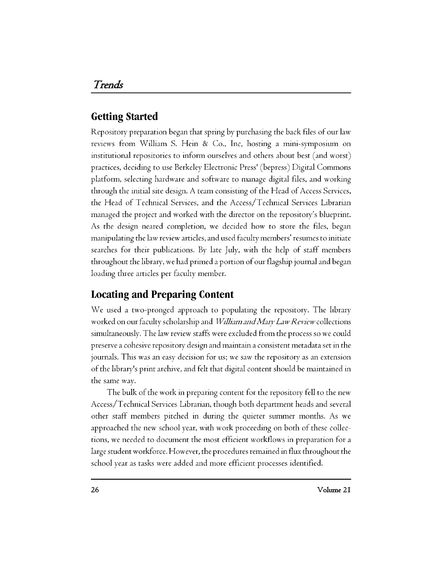#### **Getting Started**

Repository preparation began that spring by purchasing the back files of our law reviews from William S. Hein & Co., Inc, hosting a mini-symposium on institutional repositories to inform ourselves and others about best (and worst) practices, deciding to use Berkeley Electronic Press' (bepress) Digital Commons platform, selecting hardware and software to manage digital files, and working through the initial site design. A team consisting of the Head of Access Services, the Head of Technical Services, and the Access/Technical Services Librarian managed the project and worked with the director on the repository's blueprint. As the design neared completion, we decided how to store the files, began manipulating the law review articles, and used faculty members' resumes to initiate searches for their publications. By late July, with the help of staff members throughout the library, we had primed a portion of our flagship journal and began loading three articles per faculty member.

#### **Locating and Preparing Content**

We used a two-pronged approach to populating the repository. The library worked on our faculty scholarship and *William and Mary Law Review* collections simultaneously. The law review staffs were excluded from the process so we could preserve a cohesive repository design and maintain a consistent meta data set in the journals. This was an easy decision for us; we saw the repository as an extension of the library's print archive, and felt that digital content should be maintained in the same way.

The bulk of the work in preparing content for the repository fell to the new Access/Technical Services Librarian, though both department heads and several other staff members pitched in during the quieter summer months. As we approached the new school year, with work proceeding on both of these collections, we needed to document the most efficient workflows in preparation for a large student workforce. However, the procedures remained in flux throughout the school year as tasks were added and more efficient processes identified.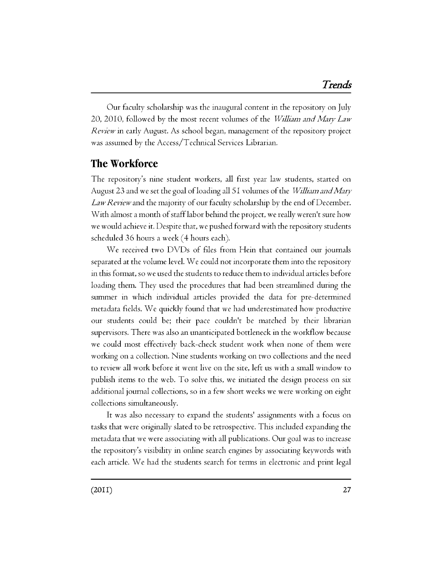Our faculty scholarship was the inaugural content in the repository on July *20,* 2010, followed by the most recent volumes of the *William and Mary Law Review* in early August. As school began, management of the repository project was assumed by the Access/Technical Services Librarian.

#### **The Workforce**

The repository's nine student workers, all first year law students, started on August 23 and we set the goal ofloading all 5 I volumes of the *William and Mary Law Review* and the majority of our faculty scholarship by the end of December. With almost a month of stafflabor behind the project, we really weren't sure how we would achieve it. Despite that, we pushed forward with the repository students scheduled 36 hours a week (4 hours each).

We received two DVDs of files from Hein that contained our journals separated at the volume level. We could not incorporate them into the repository in this format, so we used the students to reduce them to individual articles before loading them. They used the procedures that had been streamlined during the summer in which individual articles provided the data for pre-determined metadata fields. We quickly found that we had underestimated how productive our students could be; their pace couldn't be matched by their librarian supervisors. There was also an unanticipated bottleneck in the workflow because we could most effectively back-check student work when none of them were working on a collection. Nine students working on two collections and the need to review all work before it went live on the site, left us with a small window to publish items to the web. To solve this, we initiated the design process on six additional journal collections, so in a few short weeks we were working on eight collections simultaneously.

It was also necessary to expand the students' assignments with a focus on tasks that were originally slated to be retrospective. This included expanding the metadata that we were associating with all publications. Our goal was to increase the repository's visibility in online search engines by associating keywords with each article. We had the students search for terms in electronic and print legal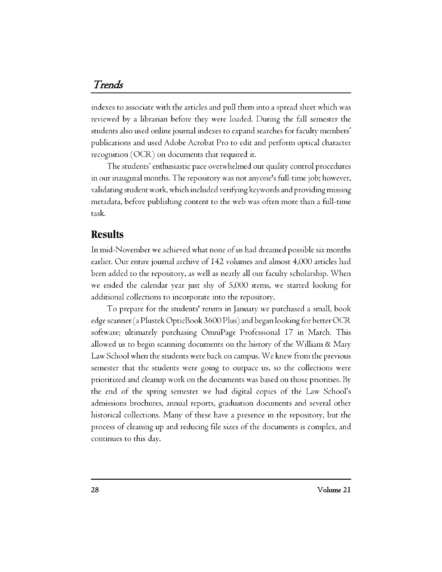#### *Trends*

indexes to associate with the articles and pull them into a spread sheet which was reviewed by a librarian before they were loaded. During the fall semester the students also used online journal indexes to expand searches for faculty members' publications and used Adobe Acrobat Pro to edit and perform optical character recognition (OCR) on documents that required it.

The students' enthusiastic pace overwhelmed our quality control procedures in our inaugural months. The repository was not anyone's full-time job; however, validating student work, which included verifying keywords and providing missing metadata, before publishing content to the web was often more than a full-time task.

#### **Results**

In mid-November we achieved what none of us had dreamed possible six months earlier. Our entire journal archive of I 42 volumes and almost 4,000 articles had been added to the repository, as well as nearly all our faculty scholarship. When we ended the calendar year just shy of 5,000 items, we started looking for additional collections to incorporate into the repository.

To prepare for the students' return in January we purchased a small, book edge scanner (a Plustek OpticBook 3600 Plus) and began looking for better OCR software; ultimately purchasing OmniPage Professional 17 in March. This allowed us to begin scanning documents on the history of the William & Mary Law School when the students were back on campus. We knew from the previous semester that the students were going to outpace us, so the collections were prioritized and cleanup work on the documents was based on those priorities. By the end of the spring semester we had digital copies of the Law School's admissions brochures, annual reports, graduation documents and several other historical collections. Many of these have a presence in the repository, but the process of cleaning up and reducing file sizes of the documents is complex, and continues to this day.